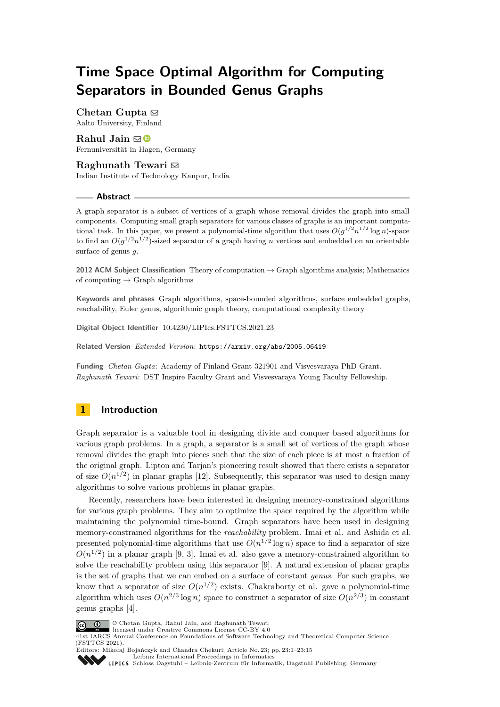# **Time Space Optimal Algorithm for Computing Separators in Bounded Genus Graphs**

**Chetan Gupta**  $\boxtimes$ Aalto University, Finland

**Rahul Jain** ⊠<sup>■</sup> Fernuniversität in Hagen, Germany

# **Raghunath Tewari** ⊠

Indian Institute of Technology Kanpur, India

## **Abstract**

A graph separator is a subset of vertices of a graph whose removal divides the graph into small components. Computing small graph separators for various classes of graphs is an important computational task. In this paper, we present a polynomial-time algorithm that uses  $O(g^{1/2}n^{1/2}\log n)$ -space to find an  $O(g^{1/2}n^{1/2})$ -sized separator of a graph having *n* vertices and embedded on an orientable surface of genus *g*.

**2012 ACM Subject Classification** Theory of computation → Graph algorithms analysis; Mathematics of computing  $\rightarrow$  Graph algorithms

**Keywords and phrases** Graph algorithms, space-bounded algorithms, surface embedded graphs, reachability, Euler genus, algorithmic graph theory, computational complexity theory

**Digital Object Identifier** [10.4230/LIPIcs.FSTTCS.2021.23](https://doi.org/10.4230/LIPIcs.FSTTCS.2021.23)

**Related Version** *Extended Version*: <https://arxiv.org/abs/2005.06419>

**Funding** *Chetan Gupta*: Academy of Finland Grant 321901 and Visvesvaraya PhD Grant. *Raghunath Tewari*: DST Inspire Faculty Grant and Visvesvaraya Young Faculty Fellowship.

# <span id="page-0-0"></span>**1 Introduction**

Graph separator is a valuable tool in designing divide and conquer based algorithms for various graph problems. In a graph, a separator is a small set of vertices of the graph whose removal divides the graph into pieces such that the size of each piece is at most a fraction of the original graph. Lipton and Tarjan's pioneering result showed that there exists a separator of size  $O(n^{1/2})$  in planar graphs [\[12\]](#page-12-0). Subsequently, this separator was used to design many algorithms to solve various problems in planar graphs.

Recently, researchers have been interested in designing memory-constrained algorithms for various graph problems. They aim to optimize the space required by the algorithm while maintaining the polynomial time-bound. Graph separators have been used in designing memory-constrained algorithms for the *reachability* problem. Imai et al. and Ashida et al. presented polynomial-time algorithms that use  $O(n^{1/2} \log n)$  space to find a separator of size  $O(n^{1/2})$  in a planar graph [\[9,](#page-12-1) [3\]](#page-12-2). Imai et al. also gave a memory-constrained algorithm to solve the reachability problem using this separator [\[9\]](#page-12-1). A natural extension of planar graphs is the set of graphs that we can embed on a surface of constant *genus*. For such graphs, we know that a separator of size  $O(n^{1/2})$  exists. Chakraborty et al. gave a polynomial-time algorithm which uses  $O(n^{2/3} \log n)$  space to construct a separator of size  $O(n^{2/3})$  in constant genus graphs [\[4\]](#page-12-3).



© Chetan Gupta, Rahul Jain, and Raghunath Tewari;

licensed under Creative Commons License CC-BY 4.0 41st IARCS Annual Conference on Foundations of Software Technology and Theoretical Computer Science (FSTTCS 2021).



Editors: Mikołaj Bojańczyk and Chandra Chekuri; Article No. 23; pp. 23:1–23:15 [Leibniz International Proceedings in Informatics](https://www.dagstuhl.de/lipics/)

[Schloss Dagstuhl – Leibniz-Zentrum für Informatik, Dagstuhl Publishing, Germany](https://www.dagstuhl.de)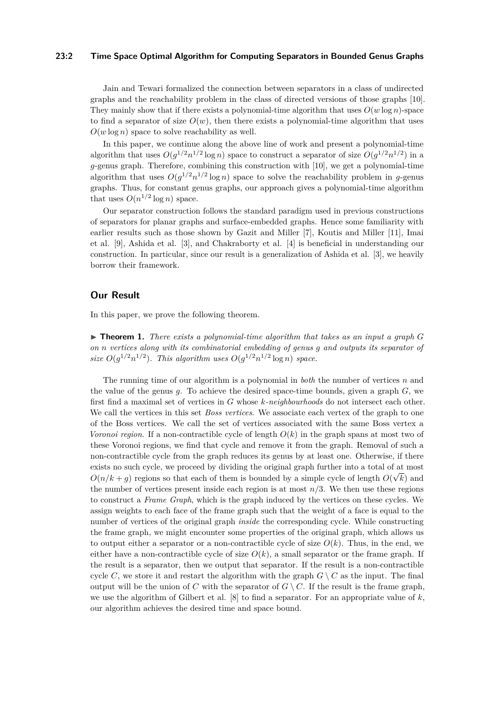## **23:2 Time Space Optimal Algorithm for Computing Separators in Bounded Genus Graphs**

Jain and Tewari formalized the connection between separators in a class of undirected graphs and the reachability problem in the class of directed versions of those graphs [\[10\]](#page-12-4). They mainly show that if there exists a polynomial-time algorithm that uses  $O(w \log n)$ -space to find a separator of size  $O(w)$ , then there exists a polynomial-time algorithm that uses  $O(w \log n)$  space to solve reachability as well.

In this paper, we continue along the above line of work and present a polynomial-time algorithm that uses  $O(g^{1/2}n^{1/2}\log n)$  space to construct a separator of size  $O(g^{1/2}n^{1/2})$  in a *g*-genus graph. Therefore, combining this construction with [\[10\]](#page-12-4), we get a polynomial-time algorithm that uses  $O(g^{1/2}n^{1/2}\log n)$  space to solve the reachability problem in *g*-genus graphs. Thus, for constant genus graphs, our approach gives a polynomial-time algorithm that uses  $O(n^{1/2} \log n)$  space.

Our separator construction follows the standard paradigm used in previous constructions of separators for planar graphs and surface-embedded graphs. Hence some familiarity with earlier results such as those shown by Gazit and Miller [\[7\]](#page-12-5), Koutis and Miller [\[11\]](#page-12-6), Imai et al. [\[9\]](#page-12-1), Ashida et al. [\[3\]](#page-12-2), and Chakraborty et al. [\[4\]](#page-12-3) is beneficial in understanding our construction. In particular, since our result is a generalization of Ashida et al. [\[3\]](#page-12-2), we heavily borrow their framework.

# **Our Result**

<span id="page-1-0"></span>In this paper, we prove the following theorem.

 $\triangleright$  **Theorem 1.** *There exists a polynomial-time algorithm that takes as an input a graph*  $G$ *on n vertices along with its combinatorial embedding of genus g and outputs its separator of* size  $O(g^{1/2}n^{1/2})$ *. This algorithm uses*  $O(g^{1/2}n^{1/2}\log n)$  space.

The running time of our algorithm is a polynomial in *both* the number of vertices *n* and the value of the genus *g*. To achieve the desired space-time bounds, given a graph *G*, we first find a maximal set of vertices in *G* whose *k-neighbourhoods* do not intersect each other. We call the vertices in this set *Boss vertices*. We associate each vertex of the graph to one of the Boss vertices. We call the set of vertices associated with the same Boss vertex a *Voronoi region*. If a non-contractible cycle of length *O*(*k*) in the graph spans at most two of these Voronoi regions, we find that cycle and remove it from the graph. Removal of such a non-contractible cycle from the graph reduces its genus by at least one. Otherwise, if there exists no such cycle, we proceed by dividing the original graph further into a total of at most  $O(n/k + g)$  regions so that each of them is bounded by a simple cycle of length  $O(\sqrt{k})$  and the number of vertices present inside each region is at most *n/*3. We then use these regions to construct a *Frame Graph*, which is the graph induced by the vertices on these cycles. We assign weights to each face of the frame graph such that the weight of a face is equal to the number of vertices of the original graph *inside* the corresponding cycle. While constructing the frame graph, we might encounter some properties of the original graph, which allows us to output either a separator or a non-contractible cycle of size  $O(k)$ . Thus, in the end, we either have a non-contractible cycle of size  $O(k)$ , a small separator or the frame graph. If the result is a separator, then we output that separator. If the result is a non-contractible cycle *C*, we store it and restart the algorithm with the graph  $G \setminus C$  as the input. The final output will be the union of *C* with the separator of  $G \setminus C$ . If the result is the frame graph, we use the algorithm of Gilbert et al. [\[8\]](#page-12-7) to find a separator. For an appropriate value of *k*, our algorithm achieves the desired time and space bound.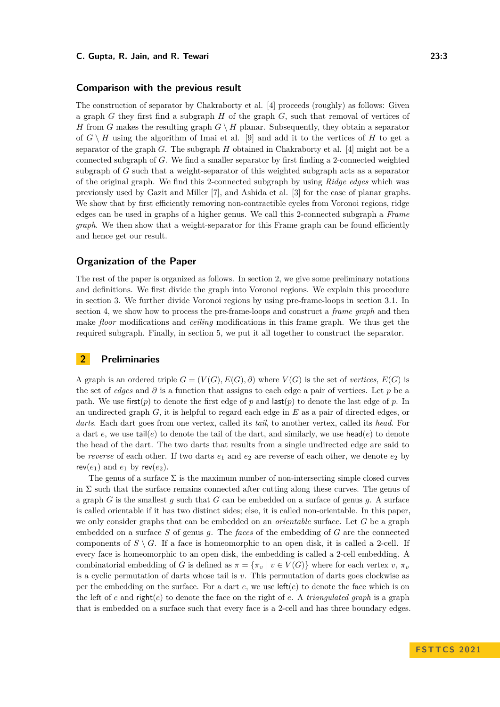### **Comparison with the previous result**

The construction of separator by Chakraborty et al. [\[4\]](#page-12-3) proceeds (roughly) as follows: Given a graph *G* they first find a subgraph *H* of the graph *G*, such that removal of vertices of *H* from *G* makes the resulting graph  $G \setminus H$  planar. Subsequently, they obtain a separator of  $G \setminus H$  using the algorithm of Imai et al. [\[9\]](#page-12-1) and add it to the vertices of *H* to get a separator of the graph *G*. The subgraph *H* obtained in Chakraborty et al. [\[4\]](#page-12-3) might not be a connected subgraph of *G*. We find a smaller separator by first finding a 2-connected weighted subgraph of *G* such that a weight-separator of this weighted subgraph acts as a separator of the original graph. We find this 2-connected subgraph by using *Ridge edges* which was previously used by Gazit and Miller [\[7\]](#page-12-5), and Ashida et al. [\[3\]](#page-12-2) for the case of planar graphs. We show that by first efficiently removing non-contractible cycles from Voronoi regions, ridge edges can be used in graphs of a higher genus. We call this 2-connected subgraph a *Frame graph*. We then show that a weight-separator for this Frame graph can be found efficiently and hence get our result.

## **Organization of the Paper**

The rest of the paper is organized as follows. In section [2,](#page-2-0) we give some preliminary notations and definitions. We first divide the graph into Voronoi regions. We explain this procedure in section [3.](#page-4-0) We further divide Voronoi regions by using pre-frame-loops in section 3*.*[1.](#page-6-0) In section [4,](#page-7-0) we show how to process the pre-frame-loops and construct a *frame graph* and then make *floor* modifications and *ceiling* modifications in this frame graph. We thus get the required subgraph. Finally, in section [5,](#page-10-0) we put it all together to construct the separator.

# <span id="page-2-0"></span>**2 Preliminaries**

A graph is an ordered triple  $G = (V(G), E(G), \partial)$  where  $V(G)$  is the set of *vertices*,  $E(G)$  is the set of *edges* and *∂* is a function that assigns to each edge a pair of vertices. Let *p* be a path. We use first $(p)$  to denote the first edge of p and last $(p)$  to denote the last edge of p. In an undirected graph *G*, it is helpful to regard each edge in *E* as a pair of directed edges, or *darts*. Each dart goes from one vertex, called its *tail*, to another vertex, called its *head*. For a dart  $e$ , we use tail( $e$ ) to denote the tail of the dart, and similarly, we use head( $e$ ) to denote the head of the dart. The two darts that results from a single undirected edge are said to be *reverse* of each other. If two darts *e*<sup>1</sup> and *e*<sup>2</sup> are reverse of each other, we denote *e*<sup>2</sup> by  $rev(e_1)$  and  $e_1$  by  $rev(e_2)$ .

The genus of a surface  $\Sigma$  is the maximum number of non-intersecting simple closed curves in  $\Sigma$  such that the surface remains connected after cutting along these curves. The genus of a graph  $G$  is the smallest  $g$  such that  $G$  can be embedded on a surface of genus  $g$ . A surface is called orientable if it has two distinct sides; else, it is called non-orientable. In this paper, we only consider graphs that can be embedded on an *orientable* surface. Let *G* be a graph embedded on a surface *S* of genus *g*. The *faces* of the embedding of *G* are the connected components of  $S \setminus G$ . If a face is homeomorphic to an open disk, it is called a 2-cell. If every face is homeomorphic to an open disk, the embedding is called a 2-cell embedding. A combinatorial embedding of *G* is defined as  $\pi = {\pi_v \mid v \in V(G)}$  where for each vertex *v*,  $\pi_v$ is a cyclic permutation of darts whose tail is *v*. This permutation of darts goes clockwise as per the embedding on the surface. For a dart  $e$ , we use  $\text{left}(e)$  to denote the face which is on the left of  $e$  and  $\text{right}(e)$  to denote the face on the right of  $e$ . A *triangulated graph* is a graph that is embedded on a surface such that every face is a 2-cell and has three boundary edges.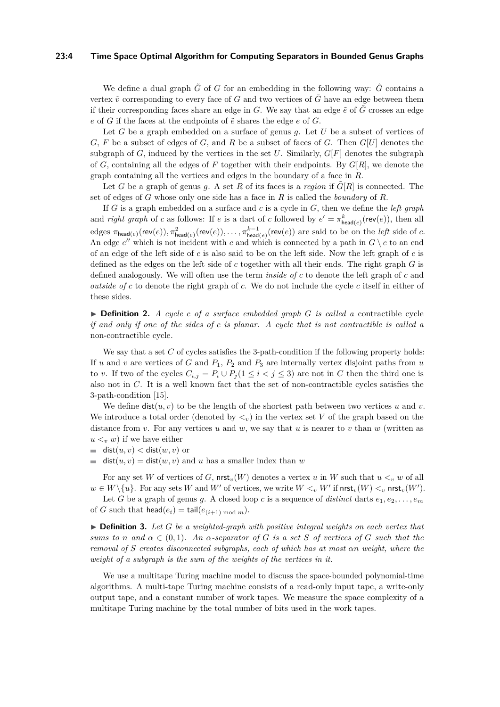#### **23:4 Time Space Optimal Algorithm for Computing Separators in Bounded Genus Graphs**

We define a dual graph  $\tilde{G}$  of *G* for an embedding in the following way:  $\tilde{G}$  contains a vertex  $\tilde{v}$  corresponding to every face of G and two vertices of  $\tilde{G}$  have an edge between them if their corresponding faces share an edge in  $G$ . We say that an edge  $\tilde{e}$  of  $\tilde{G}$  crosses an edge  $e$  of  $G$  if the faces at the endpoints of  $\tilde{e}$  shares the edge  $e$  of  $G$ .

Let *G* be a graph embedded on a surface of genus *g*. Let *U* be a subset of vertices of *G*, *F* be a subset of edges of *G*, and *R* be a subset of faces of *G*. Then *G*[*U*] denotes the subgraph of  $G$ , induced by the vertices in the set  $U$ . Similarly,  $G[F]$  denotes the subgraph of *G*, containing all the edges of *F* together with their endpoints. By *G*[*R*], we denote the graph containing all the vertices and edges in the boundary of a face in *R*.

Let *G* be a graph of genus *q*. A set *R* of its faces is a *region* if  $\tilde{G}[R]$  is connected. The set of edges of *G* whose only one side has a face in *R* is called the *boundary* of *R*.

If *G* is a graph embedded on a surface and *c* is a cycle in *G*, then we define the *left graph* and *right graph* of *c* as follows: If *e* is a dart of *c* followed by  $e' = \pi_{\text{head}(e)}^k(\text{rev}(e))$ , then all  $\epsilon$ dges  $\pi_{\textsf{head}(e)}(\textsf{rev}(e)), \pi_{\textsf{head}(e)}^2(\textsf{rev}(e)), \ldots, \pi_{\textsf{head}(e)}^{k-1}(\textsf{rev}(e))$  are said to be on the *left* side of *c*. An edge  $e''$  which is not incident with *c* and which is connected by a path in  $G \setminus c$  to an end of an edge of the left side of *c* is also said to be on the left side. Now the left graph of *c* is defined as the edges on the left side of *c* together with all their ends. The right graph *G* is defined analogously. We will often use the term *inside of c* to denote the left graph of *c* and *outside of c* to denote the right graph of *c*. We do not include the cycle *c* itself in either of these sides.

▶ **Definition 2.** *A cycle c of a surface embedded graph G is called a* contractible cycle *if and only if one of the sides of c is planar. A cycle that is not contractible is called a* non-contractible cycle*.*

We say that a set C of cycles satisfies the 3-path-condition if the following property holds: If  $u$  and  $v$  are vertices of  $G$  and  $P_1$ ,  $P_2$  and  $P_3$  are internally vertex disjoint paths from  $u$ to *v*. If two of the cycles  $C_{i,j} = P_i \cup P_j (1 \leq i < j \leq 3)$  are not in *C* then the third one is also not in *C*. It is a well known fact that the set of non-contractible cycles satisfies the 3-path-condition [\[15\]](#page-12-8).

We define  $dist(u, v)$  to be the length of the shortest path between two vertices u and v. We introduce a total order (denoted by  $\langle v \rangle$ ) in the vertex set *V* of the graph based on the distance from *v*. For any vertices *u* and *w*, we say that *u* is nearer to *v* than *w* (written as  $u < v$  *w*) if we have either

 $\blacksquare$  dist $(u, v) <$  dist $(w, v)$  or

dist( $u, v$ ) = dist( $w, v$ ) and  $u$  has a smaller index than  $w$ 

For any set W of vertices of G,  $\operatorname{nrst}_v(W)$  denotes a vertex *u* in W such that  $u < v$  *w* of all  $w \in W \setminus \{u\}$ . For any sets *W* and *W*<sup>*'*</sup> of vertices, we write  $W <sub>v</sub>$  *W*<sup>*'*</sup> if nrst<sub>*v*</sub>(*W*)  $<sub>v</sub>$  nrst<sub>*v*</sub>(*W'*).</sub>

Let *G* be a graph of genus *g*. A closed loop *c* is a sequence of *distinct* darts  $e_1, e_2, \ldots, e_m$ of *G* such that head( $e_i$ ) = tail( $e_{(i+1) \mod m}$ ).

▶ **Definition 3.** *Let G be a weighted-graph with positive integral weights on each vertex that sums to n* and  $\alpha \in (0,1)$ *. An*  $\alpha$ -separator of *G is a set S* of vertices of *G such that the removal of S creates disconnected subgraphs, each of which has at most αn weight, where the weight of a subgraph is the sum of the weights of the vertices in it.*

We use a multitape Turing machine model to discuss the space-bounded polynomial-time algorithms. A multi-tape Turing machine consists of a read-only input tape, a write-only output tape, and a constant number of work tapes. We measure the space complexity of a multitape Turing machine by the total number of bits used in the work tapes.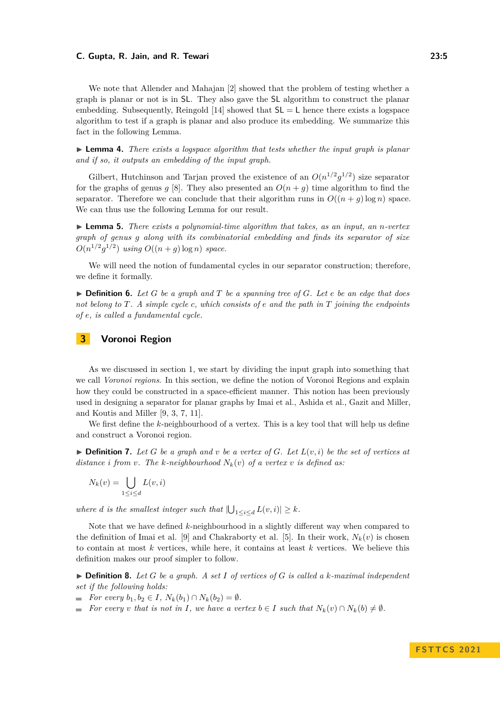We note that Allender and Mahajan [\[2\]](#page-11-0) showed that the problem of testing whether a graph is planar or not is in SL. They also gave the SL algorithm to construct the planar embedding. Subsequently, Reingold [\[14\]](#page-12-9) showed that  $SL = L$  hence there exists a logspace algorithm to test if a graph is planar and also produce its embedding. We summarize this fact in the following Lemma.

<span id="page-4-2"></span>▶ **Lemma 4.** *There exists a logspace algorithm that tests whether the input graph is planar and if so, it outputs an embedding of the input graph.*

Gilbert, Hutchinson and Tarjan proved the existence of an  $O(n^{1/2}g^{1/2})$  size separator for the graphs of genus *g* [\[8\]](#page-12-7). They also presented an  $O(n + g)$  time algorithm to find the separator. Therefore we can conclude that their algorithm runs in  $O((n + q) \log n)$  space. We can thus use the following Lemma for our result.

<span id="page-4-3"></span>▶ **Lemma 5.** *There exists a polynomial-time algorithm that takes, as an input, an n-vertex graph of genus g along with its combinatorial embedding and finds its separator of size*  $O(n^{1/2}g^{1/2})$  *using*  $O((n+g)\log n)$  *space.* 

We will need the notion of fundamental cycles in our separator construction; therefore, we define it formally.

▶ **Definition 6.** *Let G be a graph and T be a spanning tree of G. Let e be an edge that does not belong to T. A simple cycle c, which consists of e and the path in T joining the endpoints of e, is called a fundamental cycle.*

# <span id="page-4-0"></span>**3 Voronoi Region**

As we discussed in section [1,](#page-0-0) we start by dividing the input graph into something that we call *Voronoi regions*. In this section, we define the notion of Voronoi Regions and explain how they could be constructed in a space-efficient manner. This notion has been previously used in designing a separator for planar graphs by Imai et al., Ashida et al., Gazit and Miller, and Koutis and Miller [\[9,](#page-12-1) [3,](#page-12-2) [7,](#page-12-5) [11\]](#page-12-6).

We first define the *k*-neighbourhood of a vertex. This is a key tool that will help us define and construct a Voronoi region.

 $\triangleright$  **Definition 7.** Let G be a graph and v be a vertex of G. Let  $L(v, i)$  be the set of vertices at *distance i from v. The k-neighbourhood*  $N_k(v)$  *of a vertex v is defined as:* 

$$
N_k(v) = \bigcup_{1 \le i \le d} L(v, i)
$$

where *d* is the smallest integer such that  $|\bigcup_{1 \leq i \leq d} L(v, i)| \geq k$ .

Note that we have defined *k*-neighbourhood in a slightly different way when compared to the definition of Imai et al. [\[9\]](#page-12-1) and Chakraborty et al. [\[5\]](#page-12-10). In their work,  $N_k(v)$  is chosen to contain at most *k* vertices, while here, it contains at least *k* vertices. We believe this definition makes our proof simpler to follow.

 $\triangleright$  **Definition 8.** Let *G* be a graph. A set *I* of vertices of *G* is called a *k*-maximal independent *set if the following holds:*

- $\blacksquare$  *For every*  $b_1, b_2 \in I$ ,  $N_k(b_1) \cap N_k(b_2) = \emptyset$ .
- <span id="page-4-1"></span>For every *v* that is not in *I*, we have a vertex  $b \in I$  such that  $N_k(v) \cap N_k(b) \neq \emptyset$ .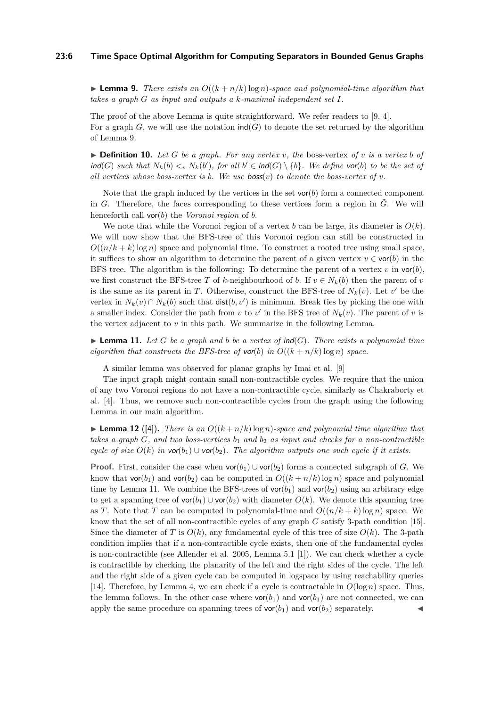# **23:6 Time Space Optimal Algorithm for Computing Separators in Bounded Genus Graphs**

 $\blacktriangleright$  **Lemma 9.** *There exists an*  $O((k+n/k)\log n)$ *-space and polynomial-time algorithm that takes a graph G as input and outputs a k-maximal independent set I.*

The proof of the above Lemma is quite straightforward. We refer readers to [\[9,](#page-12-1) [4\]](#page-12-3). For a graph  $G$ , we will use the notation  $\text{ind}(G)$  to denote the set returned by the algorithm of Lemma [9.](#page-4-1)

 $\triangleright$  **Definition 10.** Let G be a graph. For any vertex v, the boss-vertex of v is a vertex b of  $\text{ind}(G)$  *such that*  $N_k(b) \leq v N_k(b')$ , for all  $b' \in \text{ind}(G) \setminus \{b\}$ . We define vor(b) to be the set of all vertices whose boss-vertex is  $b$ . We use  $b$ oss $(v)$  to denote the boss-vertex of  $v$ .

Note that the graph induced by the vertices in the set  $\text{vor}(b)$  form a connected component in *G*. Therefore, the faces corresponding to these vertices form a region in  $\tilde{G}$ . We will henceforth call vor(*b*) the *Voronoi region* of *b*.

We note that while the Voronoi region of a vertex *b* can be large, its diameter is  $O(k)$ . We will now show that the BFS-tree of this Voronoi region can still be constructed in  $O((n/k + k) \log n)$  space and polynomial time. To construct a rooted tree using small space, it suffices to show an algorithm to determine the parent of a given vertex  $v \in \text{vor}(b)$  in the BFS tree. The algorithm is the following: To determine the parent of a vertex  $v$  in  $\text{vor}(b)$ , we first construct the BFS-tree *T* of *k*-neighbourhood of *b*. If  $v \in N_k(b)$  then the parent of *v* is the same as its parent in *T*. Otherwise, construct the BFS-tree of  $N_k(v)$ . Let  $v'$  be the vertex in  $N_k(v) \cap N_k(b)$  such that  $dist(b, v')$  is minimum. Break ties by picking the one with a smaller index. Consider the path from  $v$  to  $v'$  in the BFS tree of  $N_k(v)$ . The parent of  $v$  is the vertex adjacent to  $v$  in this path. We summarize in the following Lemma.

<span id="page-5-0"></span> $\blacktriangleright$  **Lemma 11.** Let *G* be a graph and b be a vertex of ind(*G*). There exists a polynomial time *algorithm that constructs the BFS-tree of vor(b) in*  $O((k + n/k) \log n)$  *space.* 

A similar lemma was observed for planar graphs by Imai et al. [\[9\]](#page-12-1)

The input graph might contain small non-contractible cycles. We require that the union of any two Voronoi regions do not have a non-contractible cycle, similarly as Chakraborty et al. [\[4\]](#page-12-3). Thus, we remove such non-contractible cycles from the graph using the following Lemma in our main algorithm.

<span id="page-5-1"></span> $\blacktriangleright$  **Lemma 12** ([\[4\]](#page-12-3)). There is an  $O((k+n/k)\log n)$ -space and polynomial time algorithm that *takes a graph*  $G$ *, and two boss-vertices*  $b_1$  *and*  $b_2$  *as input and checks for a non-contractible cycle of size*  $O(k)$  *in*  $\text{vor}(b_1) \cup \text{vor}(b_2)$ *. The algorithm outputs one such cycle if it exists.* 

**Proof.** First, consider the case when  $\text{vor}(b_1) \cup \text{vor}(b_2)$  forms a connected subgraph of *G*. We know that  $\text{vor}(b_1)$  and  $\text{vor}(b_2)$  can be computed in  $O((k + n/k) \log n)$  space and polynomial time by Lemma [11.](#page-5-0) We combine the BFS-trees of  $\text{vor}(b_1)$  and  $\text{vor}(b_2)$  using an arbitrary edge to get a spanning tree of  $\text{vor}(b_1) \cup \text{vor}(b_2)$  with diameter  $O(k)$ . We denote this spanning tree as *T*. Note that *T* can be computed in polynomial-time and  $O((n/k + k) \log n)$  space. We know that the set of all non-contractible cycles of any graph *G* satisfy 3-path condition [\[15\]](#page-12-8). Since the diameter of *T* is  $O(k)$ , any fundamental cycle of this tree of size  $O(k)$ . The 3-path condition implies that if a non-contractible cycle exists, then one of the fundamental cycles is non-contractible (see Allender et al. 2005, Lemma 5.1 [\[1\]](#page-11-1)). We can check whether a cycle is contractible by checking the planarity of the left and the right sides of the cycle. The left and the right side of a given cycle can be computed in logspace by using reachability queries [\[14\]](#page-12-9). Therefore, by Lemma [4,](#page-4-2) we can check if a cycle is contractable in  $O(\log n)$  space. Thus, the lemma follows. In the other case where  $\text{vor}(b_1)$  and  $\text{vor}(b_1)$  are not connected, we can apply the same procedure on spanning trees of  $\text{vor}(b_1)$  and  $\text{vor}(b_2)$  separately.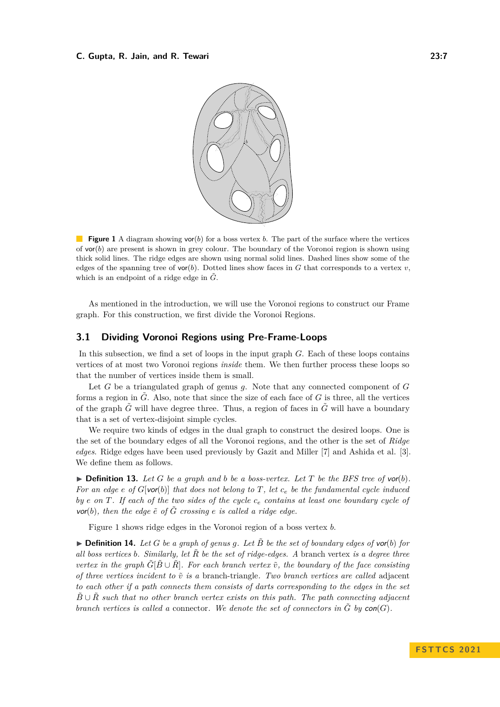<span id="page-6-1"></span>

**Figure 1** A diagram showing vor(*b*) for a boss vertex *b*. The part of the surface where the vertices of vor(*b*) are present is shown in grey colour. The boundary of the Voronoi region is shown using thick solid lines. The ridge edges are shown using normal solid lines. Dashed lines show some of the edges of the spanning tree of  $\text{vor}(b)$ . Dotted lines show faces in *G* that corresponds to a vertex *v*, which is an endpoint of a ridge edge in  $\tilde{G}$ .

As mentioned in the introduction, we will use the Voronoi regions to construct our Frame graph. For this construction, we first divide the Voronoi Regions.

# <span id="page-6-0"></span>**3.1 Dividing Voronoi Regions using Pre-Frame-Loops**

In this subsection, we find a set of loops in the input graph *G*. Each of these loops contains vertices of at most two Voronoi regions *inside* them. We then further process these loops so that the number of vertices inside them is small.

Let *G* be a triangulated graph of genus *g*. Note that any connected component of *G* forms a region in  $\tilde{G}$ . Also, note that since the size of each face of  $G$  is three, all the vertices of the graph  $\tilde{G}$  will have degree three. Thus, a region of faces in  $\tilde{G}$  will have a boundary that is a set of vertex-disjoint simple cycles.

We require two kinds of edges in the dual graph to construct the desired loops. One is the set of the boundary edges of all the Voronoi regions, and the other is the set of *Ridge edges*. Ridge edges have been used previously by Gazit and Miller [\[7\]](#page-12-5) and Ashida et al. [\[3\]](#page-12-2). We define them as follows.

 $\blacktriangleright$  **Definition 13.** Let G be a graph and b be a boss-vertex. Let T be the BFS tree of vor(b). *For an edge e of G*[vor(*b*)] *that does not belong to T, let c<sup>e</sup> be the fundamental cycle induced by*  $e$  *on*  $T$ *. If each of the two sides of the cycle*  $c_e$  *contains at least one boundary cycle of*  $\mathbf{v}$ or(*b*)*, then the edge*  $\tilde{e}$  *of*  $\tilde{G}$  *crossing e is called a ridge edge.* 

Figure [1](#page-6-1) shows ridge edges in the Voronoi region of a boss vertex *b*.

 $\triangleright$  **Definition 14.** Let G be a graph of genus q. Let  $\tilde{B}$  be the set of boundary edges of vor(b) for *all boss vertices b. Similarly, let R*˜ *be the set of ridge-edges. A* branch vertex *is a degree three vertex in the graph*  $\tilde{G}[\tilde{B} \cup \tilde{R}]$ *. For each branch vertex*  $\tilde{v}$ *, the boundary of the face consisting of three vertices incident to*  $\tilde{v}$  *is a* branch-triangle. Two branch vertices are called adjacent *to each other if a path connects them consists of darts corresponding to the edges in the set*  $B \cup \overline{R}$  *such that no other branch vertex exists on this path. The path connecting adjacent branch vertices is called a* connector. We denote the set of connectors in  $\tilde{G}$  by  $con(G)$ .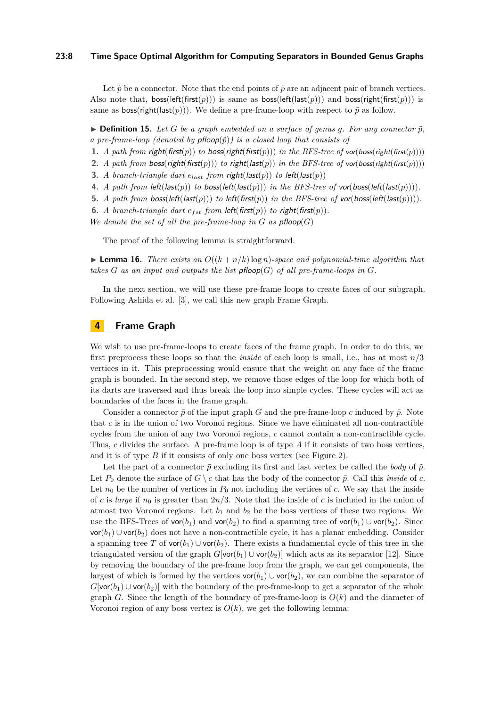# **23:8 Time Space Optimal Algorithm for Computing Separators in Bounded Genus Graphs**

Let  $\tilde{p}$  be a connector. Note that the end points of  $\tilde{p}$  are an adjacent pair of branch vertices. Also note that,  $\text{loss}(\text{left}(\text{first}(p)))$  is same as  $\text{loss}(\text{left}(\text{last}(p)))$  and  $\text{loss}(\text{right}(\text{first}(p)))$  is same as boss(right(last(*p*))). We define a pre-frame-loop with respect to  $\tilde{p}$  as follow.

 $\triangleright$  **Definition 15.** Let G be a graph embedded on a surface of genus q. For any connector  $\tilde{p}$ , *a pre-frame-loop (denoted by pfloop(* $\tilde{p}$ *)) is a closed loop that consists of* 

- **1.** *A path from right(first(p)) to boss(right(first(p))) in the BFS-tree of vor(boss(right(first(p))))*
- **2.** *A path from boss(right(first(p))) to right(last(p)) in the BFS-tree of vor(boss(right(first(p))))*
- **3.** *A branch-triangle dart*  $e_{last}$  *from right(last(p)) to left(last(p))*
- **4.** *A path from left(last(p)) to boss(left(last(p))) in the BFS-tree of vor(boss(left(last(p))))*.
- **5.** *A path from boss(left(last(p))) <i>to left(first(p)) in the BFS-tree of vor(boss(left(last(p)))*.
- **6.** *A branch-triangle dart*  $e_{fst}$  *from left(first(p)) to right(first(p)).*
- *We denote the set of all the pre-frame-loop in*  $G$  *as pfloop* $(G)$

The proof of the following lemma is straightforward.

<span id="page-7-1"></span> $\blacktriangleright$  **Lemma 16.** *There exists an*  $O((k+n/k)\log n)$ *-space and polynomial-time algorithm that takes*  $G$  *as an input and outputs the list* pfloop( $G$ ) *of all pre-frame-loops in*  $G$ *.* 

In the next section, we will use these pre-frame loops to create faces of our subgraph. Following Ashida et al. [\[3\]](#page-12-2), we call this new graph Frame Graph.

# <span id="page-7-0"></span>**4 Frame Graph**

We wish to use pre-frame-loops to create faces of the frame graph. In order to do this, we first preprocess these loops so that the *inside* of each loop is small, i.e., has at most *n/*3 vertices in it. This preprocessing would ensure that the weight on any face of the frame graph is bounded. In the second step, we remove those edges of the loop for which both of its darts are traversed and thus break the loop into simple cycles. These cycles will act as boundaries of the faces in the frame graph.

Consider a connector  $\tilde{p}$  of the input graph *G* and the pre-frame-loop *c* induced by  $\tilde{p}$ . Note that *c* is in the union of two Voronoi regions. Since we have eliminated all non-contractible cycles from the union of any two Voronoi regions, *c* cannot contain a non-contractible cycle. Thus, *c* divides the surface. A pre-frame loop is of type *A* if it consists of two boss vertices, and it is of type *B* if it consists of only one boss vertex (see Figure [2\)](#page-8-0).

<span id="page-7-2"></span>Let the part of a connector  $\tilde{p}$  excluding its first and last vertex be called the *body* of  $\tilde{p}$ . Let  $P_0$  denote the surface of  $G \setminus c$  that has the body of the connector  $\tilde{p}$ . Call this *inside* of *c*. Let  $n_0$  be the number of vertices in  $P_0$  not including the vertices of *c*. We say that the inside of *c* is *large* if  $n_0$  is greater than  $2n/3$ . Note that the inside of *c* is included in the union of atmost two Voronoi regions. Let  $b_1$  and  $b_2$  be the boss vertices of these two regions. We use the BFS-Trees of  $\text{vor}(b_1)$  and  $\text{vor}(b_2)$  to find a spanning tree of  $\text{vor}(b_1) \cup \text{vor}(b_2)$ . Since vor(*b*1) ∪ vor(*b*2) does not have a non-contractible cycle, it has a planar embedding. Consider a spanning tree *T* of  $\text{vor}(b_1) \cup \text{vor}(b_2)$ . There exists a fundamental cycle of this tree in the triangulated version of the graph  $G$ [vor $(b_1) \cup$ vor $(b_2)$ ] which acts as its separator [\[12\]](#page-12-0). Since by removing the boundary of the pre-frame loop from the graph, we can get components, the largest of which is formed by the vertices  $\text{vor}(b_1) \cup \text{vor}(b_2)$ , we can combine the separator of  $G[\text{vor}(b_1) \cup \text{vor}(b_2)]$  with the boundary of the pre-frame-loop to get a separator of the whole graph *G*. Since the length of the boundary of pre-frame-loop is  $O(k)$  and the diameter of Voronoi region of any boss vertex is  $O(k)$ , we get the following lemma: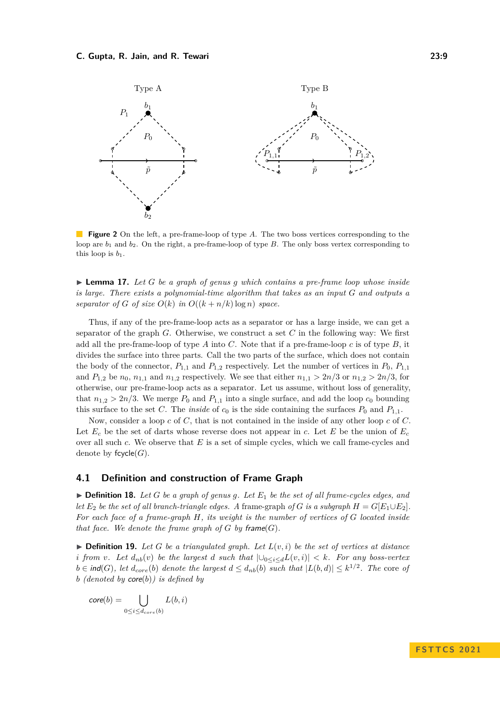<span id="page-8-0"></span>

**Figure 2** On the left, a pre-frame-loop of type A. The two boss vertices corresponding to the loop are  $b_1$  and  $b_2$ . On the right, a pre-frame-loop of type *B*. The only boss vertex corresponding to this loop is  $b_1$ .

▶ **Lemma 17.** *Let G be a graph of genus g which contains a pre-frame loop whose inside is large. There exists a polynomial-time algorithm that takes as an input G and outputs a separator of G of size*  $O(k)$  *in*  $O((k+n/k)\log n)$  *space.* 

Thus, if any of the pre-frame-loop acts as a separator or has a large inside, we can get a separator of the graph *G*. Otherwise, we construct a set *C* in the following way: We first add all the pre-frame-loop of type *A* into *C*. Note that if a pre-frame-loop *c* is of type *B*, it divides the surface into three parts. Call the two parts of the surface, which does not contain the body of the connector,  $P_{1,1}$  and  $P_{1,2}$  respectively. Let the number of vertices in  $P_0$ ,  $P_{1,1}$ and  $P_{1,2}$  be  $n_0$ ,  $n_{1,1}$  and  $n_{1,2}$  respectively. We see that either  $n_{1,1} > 2n/3$  or  $n_{1,2} > 2n/3$ , for otherwise, our pre-frame-loop acts as a separator. Let us assume, without loss of generality, that  $n_{1,2} > 2n/3$ . We merge  $P_0$  and  $P_{1,1}$  into a single surface, and add the loop  $c_0$  bounding this surface to the set *C*. The *inside* of  $c_0$  is the side containing the surfaces  $P_0$  and  $P_{1,1}$ .

Now, consider a loop *c* of *C*, that is not contained in the inside of any other loop *c* of *C*. Let  $E_c$  be the set of darts whose reverse does not appear in *c*. Let *E* be the union of  $E_c$ over all such *c*. We observe that *E* is a set of simple cycles, which we call frame-cycles and denote by fcycle(*G*).

## **4.1 Definition and construction of Frame Graph**

 $\triangleright$  **Definition 18.** Let *G* be a graph of genus g. Let  $E_1$  be the set of all frame-cycles edges, and *let*  $E_2$  *be the set of all branch-triangle edges. A frame-graph of G is a subgraph*  $H = G[E_1 \cup E_2]$ . *For each face of a frame-graph H, its weight is the number of vertices of G located inside that face. We denote the frame graph of*  $G$  *by* frame $(G)$ *.* 

 $\triangleright$  **Definition 19.** Let *G* be a triangulated graph. Let  $L(v, i)$  be the set of vertices at distance *i* from *v*. Let  $d_{nb}(v)$  be the largest *d* such that  $|\cup_{0 \le i \le d} L(v, i)| \le k$ . For any boss-vertex  $b \in \text{ind}(G)$ , let  $d_{core}(b)$  *denote the largest*  $d \leq d_{nb}(b)$  *such that*  $|L(b,d)| \leq k^{1/2}$ . The core *of b (denoted by* core(*b*)*) is defined by*

$$
core(b) = \bigcup_{0 \le i \le d_{core}(b)} L(b, i)
$$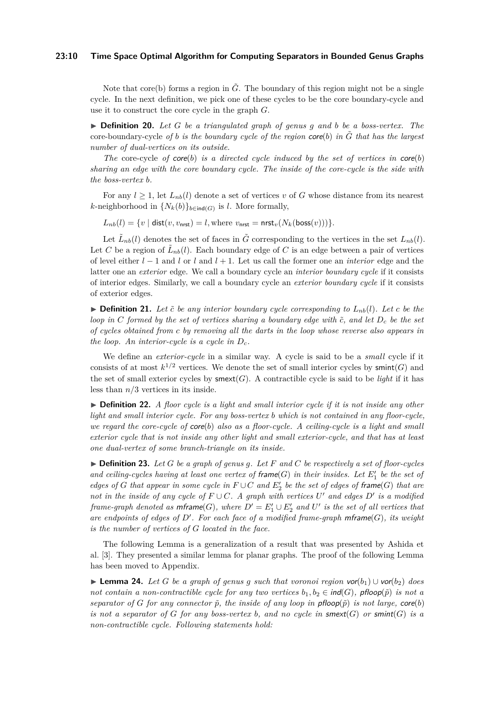#### **23:10 Time Space Optimal Algorithm for Computing Separators in Bounded Genus Graphs**

Note that core(b) forms a region in  $\tilde{G}$ . The boundary of this region might not be a single cycle. In the next definition, we pick one of these cycles to be the core boundary-cycle and use it to construct the core cycle in the graph *G*.

▶ **Definition 20.** *Let G be a triangulated graph of genus g and b be a boss-vertex. The* core-boundary-cycle of *b* is the boundary cycle of the region  $\text{core}(b)$  in  $\tilde{G}$  that has the largest *number of dual-vertices on its outside.*

*The* core-cycle *of* core(*b*) *is a directed cycle induced by the set of vertices in*  $\text{core}(b)$ *sharing an edge with the core boundary cycle. The inside of the core-cycle is the side with the boss-vertex b.*

For any  $l \geq 1$ , let  $L_{nb}(l)$  denote a set of vertices v of G whose distance from its nearest *k*-neighborhood in  $\{N_k(b)\}_{b \in \text{ind}(G)}$  is *l*. More formally,

 $L_{nb}(l) = \{v \mid \text{dist}(v, v_{\text{nrst}}) = l, \text{where } v_{\text{nrst}} = \text{nrst}_v(N_k(\text{boss}(v)))\}.$ 

Let  $\tilde{L}_{nb}(l)$  denotes the set of faces in  $\tilde{G}$  corresponding to the vertices in the set  $L_{nb}(l)$ . Let *C* be a region of  $\tilde{L}_{nb}(l)$ . Each boundary edge of *C* is an edge between a pair of vertices of level either *l* − 1 and *l* or *l* and *l* + 1. Let us call the former one an *interior* edge and the latter one an *exterior* edge. We call a boundary cycle an *interior boundary cycle* if it consists of interior edges. Similarly, we call a boundary cycle an *exterior boundary cycle* if it consists of exterior edges.

 $\triangleright$  **Definition 21.** Let  $\tilde{c}$  be any interior boundary cycle corresponding to  $L_{nb}(l)$ . Let  $c$  be the *loop in C formed by the set of vertices sharing a boundary edge with*  $\tilde{c}$ *, and let*  $D_c$  *be the set of cycles obtained from c by removing all the darts in the loop whose reverse also appears in the loop. An interior-cycle is a cycle in*  $D_c$ .

We define an *exterior-cycle* in a similar way. A cycle is said to be a *small* cycle if it consists of at most  $k^{1/2}$  vertices. We denote the set of small interior cycles by smint(*G*) and the set of small exterior cycles by  $smext(G)$ . A contractible cycle is said to be *light* if it has less than *n/*3 vertices in its inside.

▶ **Definition 22.** *A floor cycle is a light and small interior cycle if it is not inside any other light and small interior cycle. For any boss-vertex b which is not contained in any floor-cycle, we regard the core-cycle of* core(*b*) *also as a floor-cycle. A ceiling-cycle is a light and small exterior cycle that is not inside any other light and small exterior-cycle, and that has at least one dual-vertex of some branch-triangle on its inside.*

 $\triangleright$  **Definition 23.** Let *G* be a graph of genus g. Let *F* and *C* be respectively a set of floor-cycles and ceiling-cycles having at least one vertex of  $\mathsf{frame}(G)$  in their insides. Let  $E'_1$  be the set of *edges of G* that appear in some cycle in  $F \cup C$  and  $E'_{2}$  be the set of edges of frame(*G*) that are *not in the inside of any cycle of*  $F \cup C$ . A graph with vertices  $U'$  and edges  $D'$  is a modified *frame-graph denoted as*  $\mathsf{mframe}(G)$ , where  $D' = E'_1 \cup E'_2$  and  $U'$  is the set of all vertices that *are endpoints of edges of D*′ *. For each face of a modified frame-graph* mframe(*G*)*, its weight is the number of vertices of G located in the face.*

The following Lemma is a generalization of a result that was presented by Ashida et al. [\[3\]](#page-12-2). They presented a similar lemma for planar graphs. The proof of the following Lemma has been moved to Appendix.

<span id="page-9-0"></span>▶ **Lemma 24.** *Let G be a graph of genus g such that voronoi region vor(* $b_1$ *)* ∪ *vor(* $b_2$ ) *does not contain a non-contractible cycle for any two vertices*  $b_1, b_2 \in \text{ind}(G)$ , pfloop( $\tilde{p}$ ) is not a *separator of G for any connector*  $\tilde{p}$ *, the inside of any loop in pfloop*( $\tilde{p}$ ) *is not large,* core(*b*) *is not a separator of G for any boss-vertex b, and no cycle in* **smext**(*G*) *or* **smint**(*G*) *is a non-contractible cycle. Following statements hold:*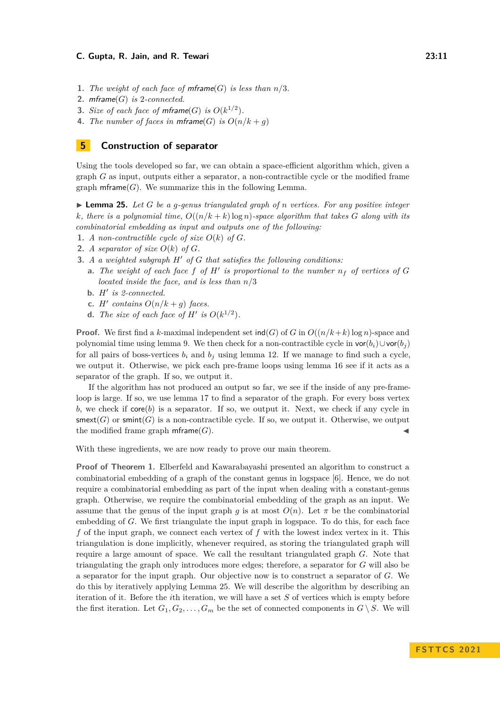- **1.** *The weight of each face of mframe* $(G)$  *is less than*  $n/3$ *.*
- **2.** mframe(*G*) *is* 2*-connected.*
- **3.** *Size of each face of mframe* $(G)$  *is*  $O(k^{1/2})$ *.*
- **4.** *The number of faces in mframe* $(G)$  *is*  $O(n/k + q)$

# <span id="page-10-0"></span>**5 Construction of separator**

Using the tools developed so far, we can obtain a space-efficient algorithm which, given a graph *G* as input, outputs either a separator, a non-contractible cycle or the modified frame graph  $\mathsf{mfname}(G)$ . We summarize this in the following Lemma.

<span id="page-10-1"></span> $\blacktriangleright$  **Lemma 25.** Let *G* be a *g*-genus triangulated graph of *n* vertices. For any positive integer *k, there is a polynomial time,*  $O((n/k + k) \log n)$ *-space algorithm that takes G along with its combinatorial embedding as input and outputs one of the following:*

- **1.** *A* non-contractible cycle of size  $O(k)$  of  $G$ .
- **2.** *A separator of size*  $O(k)$  *of*  $G$ *.*
- **3.** *A a weighted subgraph H*′ *of G that satisfies the following conditions:*
	- **a.** The weight of each face f of  $H'$  is proportional to the number  $n_f$  of vertices of  $G$ *located inside the face, and is less than n/*3
	- **b.** *H*′ *is 2-connected.*
	- **c.** *H'* contains  $O(n/k + g)$  faces.
	- **d.** The size of each face of  $H'$  is  $O(k^{1/2})$ .

**Proof.** We first find a *k*-maximal independent set  $\text{ind}(G)$  of *G* in  $O((n/k + k) \log n)$ -space and polynomial time using lemma [9.](#page-4-1) We then check for a non-contractible cycle in  $\text{vor}(b_i) \cup \text{vor}(b_j)$ for all pairs of boss-vertices  $b_i$  and  $b_j$  using lemma [12.](#page-5-1) If we manage to find such a cycle, we output it. Otherwise, we pick each pre-frame loops using lemma [16](#page-7-1) see if it acts as a separator of the graph. If so, we output it.

If the algorithm has not produced an output so far, we see if the inside of any pre-frameloop is large. If so, we use lemma [17](#page-7-2) to find a separator of the graph. For every boss vertex  $b$ , we check if core $(b)$  is a separator. If so, we output it. Next, we check if any cycle in  $s$ mext $(G)$  or  $s$ mint $(G)$  is a non-contractible cycle. If so, we output it. Otherwise, we output the modified frame graph  $\mathsf{mframe}(G)$ .

With these ingredients, we are now ready to prove our main theorem.

**Proof of Theorem [1.](#page-1-0)** Elberfeld and Kawarabayashi presented an algorithm to construct a combinatorial embedding of a graph of the constant genus in logspace [\[6\]](#page-12-11). Hence, we do not require a combinatorial embedding as part of the input when dealing with a constant-genus graph. Otherwise, we require the combinatorial embedding of the graph as an input. We assume that the genus of the input graph *q* is at most  $O(n)$ . Let  $\pi$  be the combinatorial embedding of *G*. We first triangulate the input graph in logspace. To do this, for each face *f* of the input graph, we connect each vertex of *f* with the lowest index vertex in it. This triangulation is done implicitly, whenever required, as storing the triangulated graph will require a large amount of space. We call the resultant triangulated graph *G*. Note that triangulating the graph only introduces more edges; therefore, a separator for *G* will also be a separator for the input graph. Our objective now is to construct a separator of *G*. We do this by iteratively applying Lemma [25.](#page-10-1) We will describe the algorithm by describing an iteration of it. Before the *i*th iteration, we will have a set *S* of vertices which is empty before the first iteration. Let  $G_1, G_2, \ldots, G_m$  be the set of connected components in  $G \setminus S$ . We will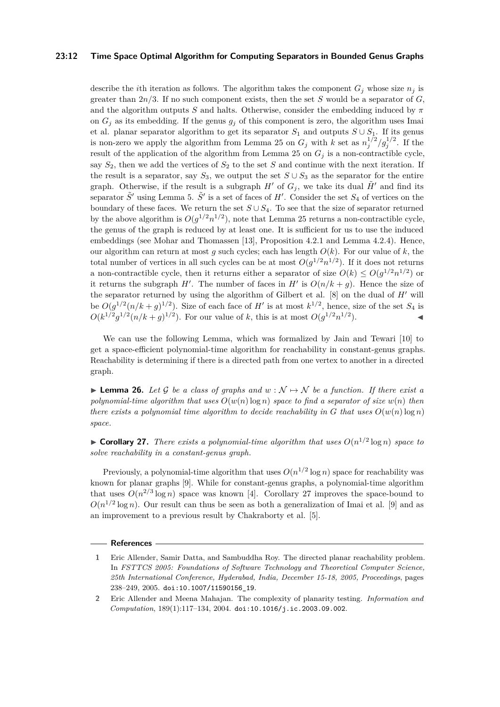### **23:12 Time Space Optimal Algorithm for Computing Separators in Bounded Genus Graphs**

describe the *i*th iteration as follows. The algorithm takes the component  $G_i$  whose size  $n_i$  is greater than 2*n/*3. If no such component exists, then the set *S* would be a separator of *G*, and the algorithm outputs *S* and halts. Otherwise, consider the embedding induced by *π* on  $G_j$  as its embedding. If the genus  $g_j$  of this component is zero, the algorithm uses Imai et al. planar separator algorithm to get its separator  $S_1$  and outputs  $S \cup S_1$ . If its genus is non-zero we apply the algorithm from Lemma [25](#page-10-1) on  $G_j$  with *k* set as  $n_j^{1/2}/g_j^{1/2}$ . If the result of the application of the algorithm from Lemma [25](#page-10-1) on  $G_j$  is a non-contractible cycle, say  $S_2$ , then we add the vertices of  $S_2$  to the set *S* and continue with the next iteration. If the result is a separator, say  $S_3$ , we output the set  $S \cup S_3$  as the separator for the entire graph. Otherwise, if the result is a subgraph  $H'$  of  $G_i$ , we take its dual  $\tilde{H}'$  and find its separator  $\tilde{S}'$  using Lemma [5.](#page-4-3)  $\tilde{S}'$  is a set of faces of  $H'$ . Consider the set  $S_4$  of vertices on the boundary of these faces. We return the set  $S \cup S_4$ . To see that the size of separator returned by the above algorithm is  $O(g^{1/2}n^{1/2})$ , note that Lemma [25](#page-10-1) returns a non-contractible cycle, the genus of the graph is reduced by at least one. It is sufficient for us to use the induced embeddings (see Mohar and Thomassen [\[13\]](#page-12-12), Proposition 4.2.1 and Lemma 4.2.4). Hence, our algorithm can return at most  $g$  such cycles; each has length  $O(k)$ . For our value of  $k$ , the total number of vertices in all such cycles can be at most  $O(g^{1/2}n^{1/2})$ . If it does not returns a non-contractible cycle, then it returns either a separator of size  $O(k) \leq O(g^{1/2}n^{1/2})$  or it returns the subgraph  $H'$ . The number of faces in  $H'$  is  $O(n/k + g)$ . Hence the size of the separator returned by using the algorithm of Gilbert et al. [\[8\]](#page-12-7) on the dual of *H*′ will be  $O(g^{1/2}(n/k + g)^{1/2})$ . Size of each face of *H'* is at most  $k^{1/2}$ , hence, size of the set  $S_4$  is  $O(k^{1/2}g^{1/2}(n/k + g)^{1/2})$ . For our value of *k*, this is at most  $O(g^{1/2}n^{1/2})$  $\bullet$   $\bullet$   $\bullet$   $\bullet$   $\bullet$ 

We can use the following Lemma, which was formalized by Jain and Tewari [\[10\]](#page-12-4) to get a space-efficient polynomial-time algorithm for reachability in constant-genus graphs. Reachability is determining if there is a directed path from one vertex to another in a directed graph.

**► Lemma 26.** Let G be a class of graphs and  $w : \mathcal{N} \mapsto \mathcal{N}$  be a function. If there exist a *polynomial-time algorithm that uses*  $O(w(n) \log n)$  *space to find a separator of size*  $w(n)$  *then there exists a polynomial time algorithm to decide reachability in G that uses*  $O(w(n) \log n)$ *space.*

<span id="page-11-2"></span> $\triangleright$  **Corollary 27.** *There exists a polynomial-time algorithm that uses*  $O(n^{1/2} \log n)$  *space to solve reachability in a constant-genus graph.*

Previously, a polynomial-time algorithm that uses  $O(n^{1/2} \log n)$  space for reachability was known for planar graphs [\[9\]](#page-12-1). While for constant-genus graphs, a polynomial-time algorithm that uses  $O(n^{2/3} \log n)$  space was known [\[4\]](#page-12-3). Corollary [27](#page-11-2) improves the space-bound to  $O(n^{1/2} \log n)$ . Our result can thus be seen as both a generalization of Imai et al. [\[9\]](#page-12-1) and as an improvement to a previous result by Chakraborty et al. [\[5\]](#page-12-10).

#### **References**

<span id="page-11-1"></span>**<sup>1</sup>** Eric Allender, Samir Datta, and Sambuddha Roy. The directed planar reachability problem. In *FSTTCS 2005: Foundations of Software Technology and Theoretical Computer Science, 25th International Conference, Hyderabad, India, December 15-18, 2005, Proceedings*, pages 238–249, 2005. [doi:10.1007/11590156\\_19](https://doi.org/10.1007/11590156_19).

<span id="page-11-0"></span>**<sup>2</sup>** Eric Allender and Meena Mahajan. The complexity of planarity testing. *Information and Computation*, 189(1):117–134, 2004. [doi:10.1016/j.ic.2003.09.002](https://doi.org/10.1016/j.ic.2003.09.002).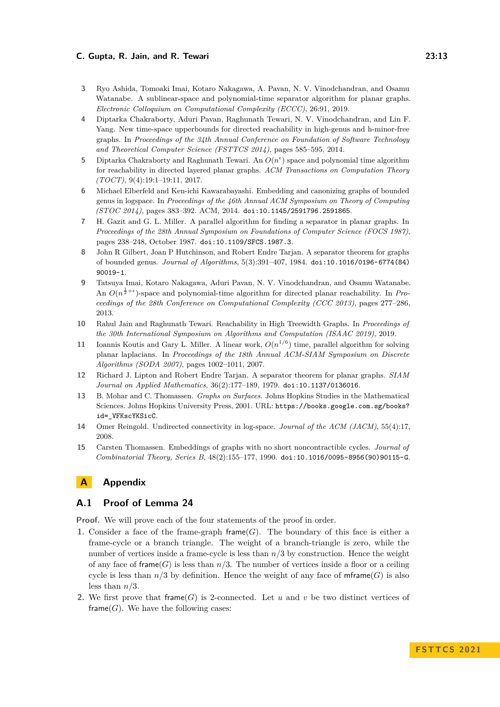- <span id="page-12-2"></span>**3** Ryo Ashida, Tomoaki Imai, Kotaro Nakagawa, A. Pavan, N. V. Vinodchandran, and Osamu Watanabe. A sublinear-space and polynomial-time separator algorithm for planar graphs. *Electronic Colloquium on Computational Complexity (ECCC)*, 26:91, 2019.
- <span id="page-12-3"></span>**4** Diptarka Chakraborty, Aduri Pavan, Raghunath Tewari, N. V. Vinodchandran, and Lin F. Yang. New time-space upperbounds for directed reachability in high-genus and h-minor-free graphs. In *Proceedings of the 34th Annual Conference on Foundation of Software Technology and Theoretical Computer Science (FSTTCS 2014)*, pages 585–595, 2014.
- <span id="page-12-10"></span>**5** Diptarka Chakraborty and Raghunath Tewari. An  $O(n^{\epsilon})$  space and polynomial time algorithm for reachability in directed layered planar graphs. *ACM Transactions on Computation Theory (TOCT)*, 9(4):19:1–19:11, 2017.
- <span id="page-12-11"></span>**6** Michael Elberfeld and Ken-ichi Kawarabayashi. Embedding and canonizing graphs of bounded genus in logspace. In *Proceedings of the 46th Annual ACM Symposium on Theory of Computing (STOC 2014)*, pages 383–392. ACM, 2014. [doi:10.1145/2591796.2591865](https://doi.org/10.1145/2591796.2591865).
- <span id="page-12-5"></span>**7** H. Gazit and G. L. Miller. A parallel algorithm for finding a separator in planar graphs. In *Proceedings of the 28th Annual Symposium on Foundations of Computer Science (FOCS 1987)*, pages 238–248, October 1987. [doi:10.1109/SFCS.1987.3](https://doi.org/10.1109/SFCS.1987.3).
- <span id="page-12-7"></span>**8** John R Gilbert, Joan P Hutchinson, and Robert Endre Tarjan. A separator theorem for graphs of bounded genus. *Journal of Algorithms*, 5(3):391–407, 1984. [doi:10.1016/0196-6774\(84\)](https://doi.org/10.1016/0196-6774(84)90019-1) [90019-1](https://doi.org/10.1016/0196-6774(84)90019-1).
- <span id="page-12-1"></span>**9** Tatsuya Imai, Kotaro Nakagawa, Aduri Pavan, N. V. Vinodchandran, and Osamu Watanabe. An  $O(n^{\frac{1}{2}+\epsilon})$ -space and polynomial-time algorithm for directed planar reachability. In *Proceedings of the 28th Conference on Computational Complexity (CCC 2013)*, pages 277–286, 2013.
- <span id="page-12-4"></span>**10** Rahul Jain and Raghunath Tewari. Reachability in High Treewidth Graphs. In *Proceedings of the 30th International Symposium on Algorithms and Computation (ISAAC 2019)*, 2019.
- <span id="page-12-6"></span>**11** Ioannis Koutis and Gary L. Miller. A linear work,  $O(n^{1/6})$  time, parallel algorithm for solving planar laplacians. In *Proceedings of the 18th Annual ACM-SIAM Symposium on Discrete Algorithms (SODA 2007)*, pages 1002–1011, 2007.
- <span id="page-12-0"></span>**12** Richard J. Lipton and Robert Endre Tarjan. A separator theorem for planar graphs. *SIAM Journal on Applied Mathematics*, 36(2):177–189, 1979. [doi:10.1137/0136016](https://doi.org/10.1137/0136016).
- <span id="page-12-12"></span>**13** B. Mohar and C. Thomassen. *Graphs on Surfaces*. Johns Hopkins Studies in the Mathematical Sciences. Johns Hopkins University Press, 2001. URL: [https://books.google.com.sg/books?](https://books.google.com.sg/books?id=_VFKscYKSicC) [id=\\_VFKscYKSicC](https://books.google.com.sg/books?id=_VFKscYKSicC).
- <span id="page-12-9"></span>**14** Omer Reingold. Undirected connectivity in log-space. *Journal of the ACM (JACM)*, 55(4):17, 2008.
- <span id="page-12-8"></span>**15** Carsten Thomassen. Embeddings of graphs with no short noncontractible cycles. *Journal of Combinatorial Theory, Series B*, 48(2):155–177, 1990. [doi:10.1016/0095-8956\(90\)90115-G](https://doi.org/10.1016/0095-8956(90)90115-G).

# **A Appendix**

# **A.1 Proof of Lemma [24](#page-9-0)**

**Proof.** We will prove each of the four statements of the proof in order.

- **1.** Consider a face of the frame-graph frame $(G)$ . The boundary of this face is either a frame-cycle or a branch triangle. The weight of a branch-triangle is zero, while the number of vertices inside a frame-cycle is less than *n/*3 by construction. Hence the weight of any face of frame  $(G)$  is less than  $n/3$ . The number of vertices inside a floor or a ceiling cycle is less than  $n/3$  by definition. Hence the weight of any face of mframe(*G*) is also less than *n/*3.
- **2.** We first prove that frame  $(G)$  is 2-connected. Let *u* and *v* be two distinct vertices of frame $(G)$ . We have the following cases: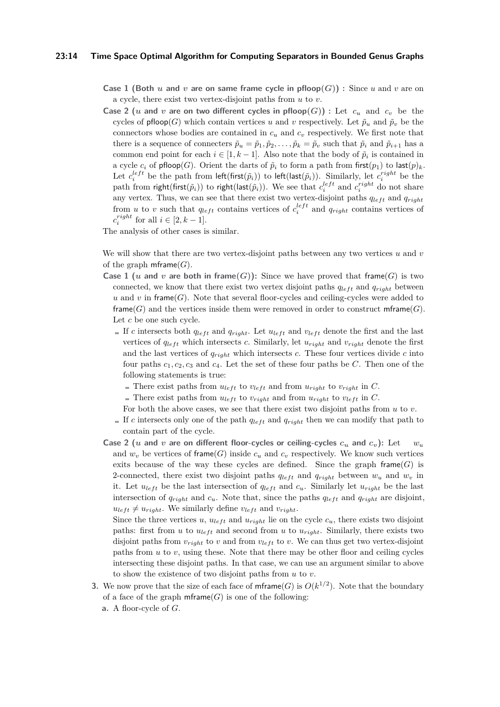## **23:14 Time Space Optimal Algorithm for Computing Separators in Bounded Genus Graphs**

- **Case 1 (Both** *u* and *v* are on same frame cycle in pfloop $(G)$ ) : Since *u* and *v* are on a cycle, there exist two vertex-disjoint paths from *u* to *v*.
- **Case 2** (*u* and *v* are on two different cycles in pfloop $(G)$ ) : Let  $c_u$  and  $c_v$  be the cycles of pfloop(*G*) which contain vertices *u* and *v* respectively. Let  $\tilde{p}_u$  and  $\tilde{p}_v$  be the connectors whose bodies are contained in  $c<sub>u</sub>$  and  $c<sub>v</sub>$  respectively. We first note that there is a sequence of connecters  $\tilde{p}_u = \tilde{p}_1, \tilde{p}_2, \ldots, \tilde{p}_k = \tilde{p}_v$  such that  $\tilde{p}_i$  and  $\tilde{p}_{i+1}$  has a common end point for each  $i \in [1, k-1]$ . Also note that the body of  $\tilde{p}_i$  is contained in a cycle  $c_i$  of pfloop(*G*). Orient the darts of  $\tilde{p}_i$  to form a path from first( $p_1$ ) to last( $p)_k$ . Let  $c_i^{left}$  be the path from  $left(f_{i}(\tilde{p}_i))$  to  $left(last(\tilde{p}_i))$ . Similarly, let  $c_i^{right}$  be the path from right(first( $\tilde{p}_i$ )) to right(last( $\tilde{p}_i$ )). We see that  $c_i^{left}$  and  $c_i^{right}$  do not share any vertex. Thus, we can see that there exist two vertex-disjoint paths  $q_{left}$  and  $q_{right}$ from *u* to *v* such that  $q_{left}$  contains vertices of  $c_i^{left}$  and  $q_{right}$  contains vertices of  $c_i^{right}$  for all  $i \in [2, k-1]$ .

The analysis of other cases is similar.

We will show that there are two vertex-disjoint paths between any two vertices *u* and *v* of the graph  $\mathsf{mframe}(G)$ .

- **Case 1** (*u* and *v* are both in frame(*G*)): Since we have proved that frame(*G*) is two connected, we know that there exist two vertex disjoint paths  $q_{left}$  and  $q_{right}$  between *u* and *v* in frame(*G*). Note that several floor-cycles and ceiling-cycles were added to frame( $G$ ) and the vertices inside them were removed in order to construct mframe( $G$ ). Let *c* be one such cycle.
	- If *c* intersects both  $q_{left}$  and  $q_{right}$ . Let  $u_{left}$  and  $v_{left}$  denote the first and the last vertices of  $q_{left}$  which intersects *c*. Similarly, let  $u_{right}$  and  $v_{right}$  denote the first and the last vertices of  $q_{right}$  which intersects  $c$ . These four vertices divide  $c$  into four paths  $c_1, c_2, c_3$  and  $c_4$ . Let the set of these four paths be C. Then one of the following statements is true:
		- $\blacksquare$  There exist paths from  $u_{left}$  to  $v_{left}$  and from  $u_{right}$  to  $v_{right}$  in *C*.
		- $\blacksquare$  There exist paths from  $u_{left}$  to  $v_{right}$  and from  $u_{right}$  to  $v_{left}$  in *C*.
	- For both the above cases, we see that there exist two disjoint paths from *u* to *v*.
	- If *c* intersects only one of the path  $q_{left}$  and  $q_{right}$  then we can modify that path to contain part of the cycle.
- Case 2 (*u* and *v* are on different floor-cycles or ceiling-cycles  $c_u$  and  $c_v$ ): Let  $w_u$ and  $w<sub>v</sub>$  be vertices of frame(*G*) inside  $c<sub>u</sub>$  and  $c<sub>v</sub>$  respectively. We know such vertices exits because of the way these cycles are defined. Since the graph frame $(G)$  is 2-connected, there exist two disjoint paths  $q_{left}$  and  $q_{right}$  between  $w_u$  and  $w_v$  in it. Let  $u_{left}$  be the last intersection of  $q_{left}$  and  $c_u$ . Similarly let  $u_{right}$  be the last intersection of  $q_{right}$  and  $c_u$ . Note that, since the paths  $q_{left}$  and  $q_{right}$  are disjoint,  $u_{left} \neq u_{right}$ . We similarly define  $v_{left}$  and  $v_{right}$ .

Since the three vertices *u*,  $u_{left}$  and  $u_{right}$  lie on the cycle  $c_u$ , there exists two disjoint paths: first from  $u$  to  $u_{left}$  and second from  $u$  to  $u_{right}$ . Similarly, there exists two disjoint paths from  $v_{right}$  to *v* and from  $v_{left}$  to *v*. We can thus get two vertex-disjoint paths from *u* to *v*, using these. Note that there may be other floor and ceiling cycles intersecting these disjoint paths. In that case, we can use an argument similar to above to show the existence of two disjoint paths from *u* to *v*.

- **3.** We now prove that the size of each face of  $\mathsf{mframe}(G)$  is  $O(k^{1/2})$ . Note that the boundary of a face of the graph  $\mathsf{mframe}(G)$  is one of the following:
	- **a.** A floor-cycle of *G*.